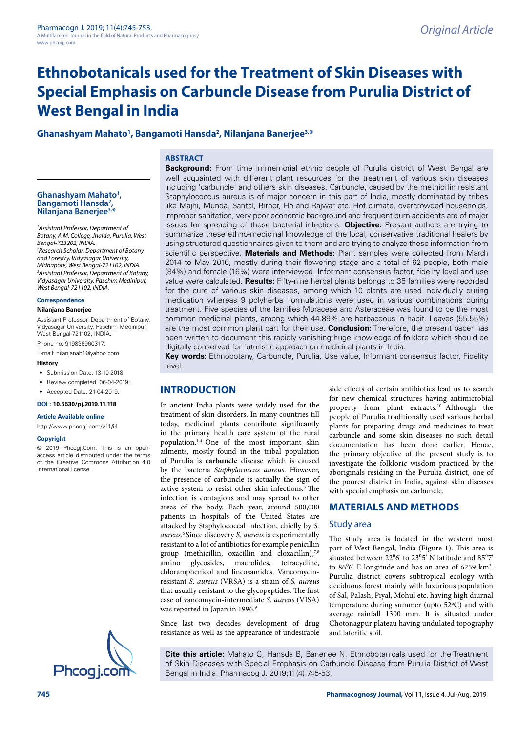# **Ethnobotanicals used for the Treatment of Skin Diseases with Special Emphasis on Carbuncle Disease from Purulia District of West Bengal in India**

# **Ghanashyam Mahato1 , Bangamoti Hansda2 , Nilanjana Banerjee3,\***

# **ABSTRACT**

Ghanashyam Mahato<sup>1</sup>, **, Bangamoti Hansda2 , Nilanjana Banerjee3,\***

*1 Assistant Professor, Department of Botany, A.M. College, Jhalda, Purulia, West Bengal-723202, INDIA. 2 Research Scholar, Department of Botany and Forestry, Vidyasagar University, Midnapore, West Bengal-721102, INDIA. 3 Assistant Professor, Department of Botany, Vidyasagar University, Paschim Medinipur, West Bengal-721102, INDIA.*

#### **Correspondence**

#### **Nilanjana Banerjee**

Assistant Professor, Department of Botany, Vidyasagar University, Paschim Medinipur, West Bengal-721102, INDIA.

Phone no: 919836960317; E-mail: [nilanjanab1@yahoo.com](mailto:nilanjanab1@yahoo.com)

#### **History**

- Submission Date: 13-10-2018;
- Review completed: 06-04-2019;
- Accepted Date: 21-04-2019.

#### **DOI : 10.5530/pj.2019.11.118**

**Article Available online** 

[http://www.phcogj.com/v11/i](http://www.phcogj.com/v11/i3)4

#### **Copyright**

© 2019 Phcogj.Com. This is an openaccess article distributed under the terms of the Creative Commons Attribution 4.0 International license.



**Background:** From time immemorial ethnic people of Purulia district of West Bengal are well acquainted with different plant resources for the treatment of various skin diseases including 'carbuncle' and others skin diseases. Carbuncle, caused by the methicillin resistant Staphylococcus aureus is of major concern in this part of India, mostly dominated by tribes like Majhi, Munda, Santal, Birhor, Ho and Rajwar etc. Hot climate, overcrowded households, improper sanitation, very poor economic background and frequent burn accidents are of major issues for spreading of these bacterial infections. **Objective:** Present authors are trying to summarize these ethno-medicinal knowledge of the local, conservative traditional healers by using structured questionnaires given to them and are trying to analyze these information from scientific perspective. **Materials and Methods:** Plant samples were collected from March 2014 to May 2016, mostly during their flowering stage and a total of 62 people, both male (84%) and female (16%) were interviewed. Informant consensus factor, fidelity level and use value were calculated. **Results:** Fifty-nine herbal plants belongs to 35 families were recorded for the cure of various skin diseases, among which 10 plants are used individually during medication whereas 9 polyherbal formulations were used in various combinations during treatment. Five species of the families Moraceae and Asteraceae was found to be the most common medicinal plants, among which 44.89% are herbaceous in habit. Leaves (55.55%) are the most common plant part for their use. **Conclusion:** Therefore, the present paper has been written to document this rapidly vanishing huge knowledge of folklore which should be digitally conserved for futuristic approach on medicinal plants in India.

**Key words:** Ethnobotany, Carbuncle, Purulia, Use value, Informant consensus factor, Fidelity level.

# **INTRODUCTION**

In ancient India plants were widely used for the treatment of skin disorders. In many countries till today, medicinal plants contribute significantly in the primary health care system of the rural population.1-4 One of the most important skin ailments, mostly found in the tribal population of Purulia is **carbuncle** disease which is caused by the bacteria *Staphylococcus aureus*. However, the presence of carbuncle is actually the sign of active system to resist other skin infections.<sup>5</sup> The infection is [contagious](https://en.wikipedia.org/wiki/Contagious_disease) and may spread to other areas of the body. Each year, around 500,000 patients in hospitals of the United States are attacked by Staphylococcal infection, chiefly by *S. aureus.*6 Since discovery *S. aureus* is experimentally resistant to a lot of antibiotics for example penicillin group (methicillin, oxacillin and cloxacillin),<sup>7,8</sup> amino glycosides, macrolides, tetracycline, chloramphenicol and lincosamides. [Vancomycin](https://en.wikipedia.org/wiki/Vancomycin-resistant_Staphylococcus_aureus)resistant *[S. aureus](https://en.wikipedia.org/wiki/Vancomycin-resistant_Staphylococcus_aureus)* (VRSA) is a strain of *S. aureus* that usually resistant to the glycopeptides. The first case of vancomycin-intermediate *S. aureus* (VISA) was reported in Japan in 1996.<sup>9</sup>

Since last two decades development of drug resistance as well as the appearance of undesirable

side effects of certain antibiotics lead us to search for new chemical structures having antimicrobial property from plant extracts.10 Although the people of Purulia traditionally used various herbal plants for preparing drugs and medicines to treat carbuncle and some skin diseases no such detail documentation has been done earlier. Hence, the primary objective of the present study is to investigate the folkloric wisdom practiced by the aboriginals residing in the Purulia district, one of the poorest district in India, against skin diseases with special emphasis on carbuncle.

# **MATERIALS AND METHODS**

#### Study area

The study area is located in the western most part of West Bengal, India (Figure 1). This area is situated between  $22^{\circ}6'$  to  $23^{\circ}5'$  N latitude and  $85^{\circ}7'$ to  $86^{\circ}$ 6' E longitude and has an area of 6259 km<sup>2</sup>. Purulia district covers subtropical ecology with deciduous forest mainly with luxurious population of Sal, Palash, Piyal, Mohul etc. having high diurnal temperature during summer (upto 52°C) and with average rainfall 1300 mm. It is situated under Chotonagpur plateau having undulated topography and lateritic soil.

**Cite this article:** Mahato G, Hansda B, Banerjee N. Ethnobotanicals used for the Treatment of Skin Diseases with Special Emphasis on Carbuncle Disease from Purulia District of West Bengal in India. Pharmacog J. 2019;11(4):745-53.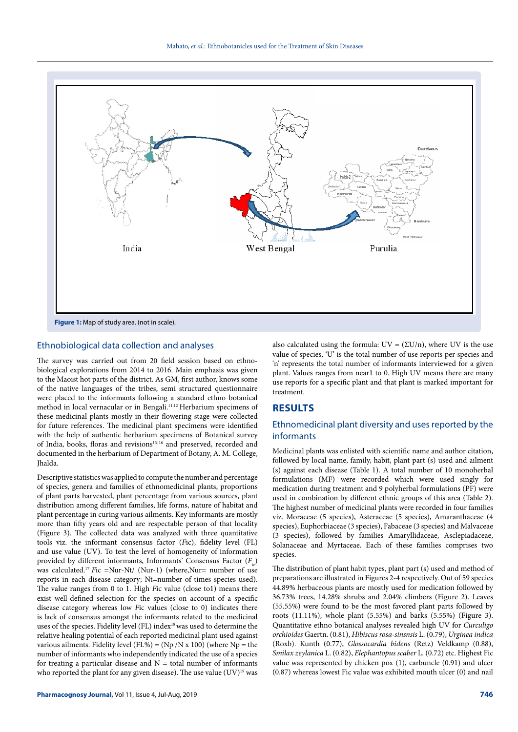

#### Ethnobiological data collection and analyses

The survey was carried out from 20 field session based on ethnobiological explorations from 2014 to 2016. Main emphasis was given to the Maoist hot parts of the district. As GM, first author, knows some of the native languages of the tribes, semi structured questionnaire were placed to the informants following a standard ethno botanical method in local vernacular or in Bengali.<sup>11,12</sup> Herbarium specimens of these medicinal plants mostly in their flowering stage were collected for future references. The medicinal plant specimens were identified with the help of authentic herbarium specimens of Botanical survey of India, books, floras and revisions<sup>13-16</sup> and preserved, recorded and documented in the herbarium of Department of Botany, A. M. College, Jhalda.

Descriptive statistics was applied to compute the number and percentage of species, genera and families of ethnomedicinal plants, proportions of plant parts harvested, plant percentage from various sources, plant distribution among different families, life forms, nature of habitat and plant percentage in curing various ailments. Key informants are mostly more than fifty years old and are respectable person of that locality (Figure 3). The collected data was analyzed with three quantitative tools viz. the informant consensus factor (*F*ic), fidelity level (FL) and use value (UV). To test the level of homogeneity of information provided by different informants, Informants' Consensus Factor (*F*<sub>ic</sub>) was calculated.<sup>17</sup> *Fic* =Nur-Nt/ (Nur-1) (where,Nur= number of use reports in each disease category; Nt=number of times species used). The value ranges from 0 to 1. High *F*ic value (close to1) means there exist well-defined selection for the species on account of a specific disease category whereas low *F*ic values (close to 0) indicates there is lack of consensus amongst the informants related to the medicinal uses of the species. Fidelity level (FL) index<sup>18</sup> was used to determine the relative healing potential of each reported medicinal plant used against various ailments. Fidelity level (FL%) = (Np /N x 100) (where  $Np =$  the number of informants who independently indicated the use of a species for treating a particular disease and  $N =$  total number of informants who reported the plant for any given disease). The use value  $(UV)^{19}$  was also calculated using the formula:  $UV = (\Sigma U/n)$ , where UV is the use value of species, 'U' is the total number of use reports per species and 'n' represents the total number of informants interviewed for a given plant. Values ranges from near1 to 0. High UV means there are many use reports for a specific plant and that plant is marked important for treatment.

# **RESULTS**

# Ethnomedicinal plant diversity and uses reported by the informants

Medicinal plants was enlisted with scientific name and author citation, followed by local name, family, habit, plant part (s) used and ailment (s) against each disease (Table 1). A total number of 10 monoherbal formulations (MF) were recorded which were used singly for medication during treatment and 9 polyherbal formulations (PF) were used in combination by different ethnic groups of this area (Table 2). The highest number of medicinal plants were recorded in four families viz. Moraceae (5 species), Asteraceae (5 species), Amaranthaceae (4 species), Euphorbiaceae (3 species), Fabaceae (3 species) and Malvaceae (3 species), followed by families Amaryllidaceae, Asclepiadaceae, Solanaceae and Myrtaceae. Each of these families comprises two species.

The distribution of plant habit types, plant part (s) used and method of preparations are illustrated in Figures 2-4 respectively. Out of 59 species 44.89% herbaceous plants are mostly used for medication followed by 36.73% trees, 14.28% shrubs and 2.04% climbers (Figure 2). Leaves (55.55%) were found to be the most favored plant parts followed by roots (11.11%), whole plant (5.55%) and barks (5.55%) (Figure 3). Quantitative ethno botanical analyses revealed high UV for *Curculigo orchioides* Gaertn. (0.81), *Hibiscus rosa-sinsnsis* L. (0.79), *Urginea indica* (Roxb). Kunth (0.77), *Glossocardia bidens* (Retz) Veldkamp (0.88), *Smilax zeylanica* L. (0.82), *Elephantopus scaber* L. (0.72) etc. Highest Fic value was represented by chicken pox (1), carbuncle (0.91) and ulcer (0.87) whereas lowest Fic value was exhibited mouth ulcer (0) and nail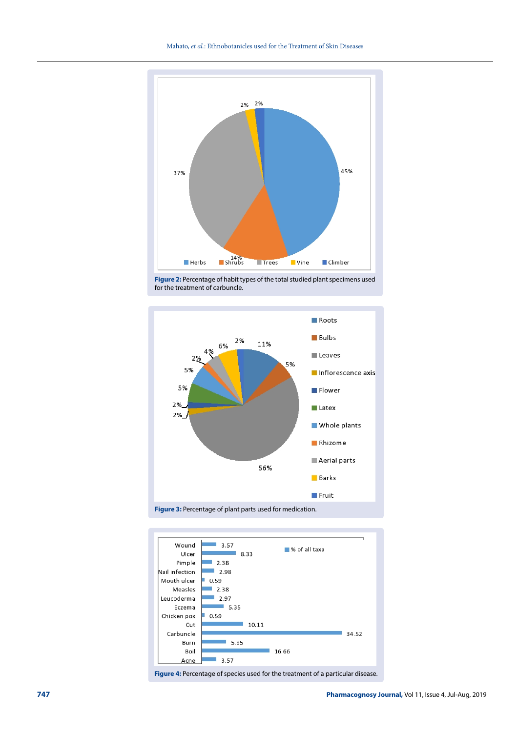

**Figure 2:** Percentage of habit types of the total studied plant specimens used for the treatment of carbuncle.





Figure 4: Percentage of species used for the treatment of a particular disease.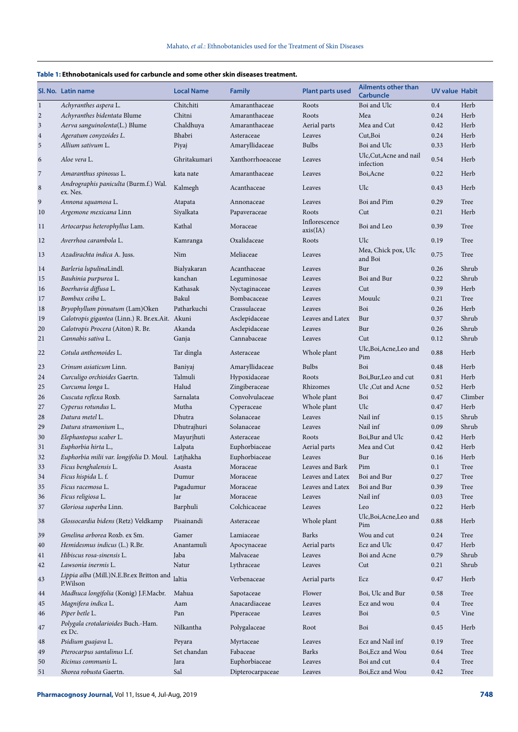# **Table 1: Ethnobotanicals used for carbuncle and some other skin diseases treatment.**

|                | SI. No. Latin name                                   | <b>Local Name</b> | <b>Family</b>    | <b>Plant parts used</b>   | <b>Ailments other than</b><br><b>Carbuncle</b> | <b>UV value Habit</b> |         |
|----------------|------------------------------------------------------|-------------------|------------------|---------------------------|------------------------------------------------|-----------------------|---------|
| $\mathbf{1}$   | Achyranthes aspera L.                                | Chitchiti         | Amaranthaceae    | Roots                     | Boi and Ulc                                    | 0.4                   | Herb    |
| $\overline{c}$ | Achyranthes bidentata Blume                          | Chitni            | Amaranthaceae    | Roots                     | Mea                                            | 0.24                  | Herb    |
| $\mathfrak{Z}$ | Aerva sanguinolenta(L.) Blume                        | Chaldhuya         | Amaranthaceae    | Aerial parts              | Mea and Cut                                    | 0.42                  | Herb    |
| $\overline{4}$ | Ageratum conyzoides L.                               | Bhabri            | Asteraceae       | Leaves                    | Cut,Boi                                        | 0.24                  | Herb    |
| 5              | Allium sativum L.                                    | Piyaj             | Amaryllidaceae   | <b>Bulbs</b>              | Boi and Ulc                                    | 0.33                  | Herb    |
| 6              | Aloe vera L.                                         | Ghritakumari      | Xanthorrhoeaceae | Leaves                    | Ulc, Cut, Acne and nail<br>infection           | 0.54                  | Herb    |
| $\sqrt{7}$     | Amaranthus spinosus L.                               | kata nate         | Amaranthaceae    | Leaves                    | Boi, Acne                                      | 0.22                  | Herb    |
| $\,8\,$        | Andrographis paniculta (Burm.f.) Wal.<br>ex. Nes.    | Kalmegh           | Acanthaceae      | Leaves                    | Ulc                                            | 0.43                  | Herb    |
| 9              | Annona squamosa L.                                   | Atapata           | Annonaceae       | Leaves                    | Boi and Pim                                    | 0.29                  | Tree    |
| 10             | Argemone mexicana Linn                               | Siyalkata         | Papaveraceae     | Roots                     | Cut                                            | 0.21                  | Herb    |
| 11             | Artocarpus heterophyllus Lam.                        | Kathal            | Moraceae         | Inflorescence<br>axis(IA) | Boi and Leo                                    | 0.39                  | Tree    |
| 12             | Averrhoa carambola L.                                | Kamranga          | Oxalidaceae      | Roots                     | Ulc                                            | 0.19                  | Tree    |
| 13             | Azadirachta indica A. Juss.                          | Nim               | Meliaceae        | Leaves                    | Mea, Chick pox, Ulc<br>and Boi                 | 0.75                  | Tree    |
| 14             | Barleria lupulinaLindl.                              | Bialyakaran       | Acanthaceae      | Leaves                    | Bur                                            | 0.26                  | Shrub   |
| 15             | Bauhinia purpurea L.                                 | kanchan           | Leguminosae      | Leaves                    | Boi and Bur                                    | 0.22                  | Shrub   |
| 16             | Boerhavia diffusa L.                                 | Kathasak          | Nyctaginaceae    | Leaves                    | Cut                                            | 0.39                  | Herb    |
| 17             | Bombax ceiba L.                                      | Bakul             | Bombacaceae      | Leaves                    | Mouulc                                         | 0.21                  | Tree    |
| $18\,$         | Bryophyllum pinnatum (Lam)Oken                       | Patharkuchi       | Crassulaceae     | Leaves                    | Boi                                            | 0.26                  | Herb    |
| 19             | Calotropis gigantea (Linn.) R. Br.ex.Ait. Akuni      |                   | Asclepidaceae    | Leaves and Latex          | Bur                                            | 0.37                  | Shrub   |
| 20             | Calotropis Procera (Aiton) R. Br.                    | Akanda            | Asclepidaceae    | Leaves                    | Bur                                            | 0.26                  | Shrub   |
| 21             | Cannabis sativa L.                                   | Ganja             | Cannabaceae      | Leaves                    | Cut                                            | 0.12                  | Shrub   |
| 22             | Cotula anthemoides L.                                | Tar dingla        | Asteraceae       | Whole plant               | Ulc, Boi, Acne, Leo and<br>Pim                 | 0.88                  | Herb    |
| 23             | Crinum asiaticum Linn.                               | Baniyaj           | Amaryllidaceae   | <b>Bulbs</b>              | Boi                                            | 0.48                  | Herb    |
| 24             | Curculigo orchioides Gaertn.                         | Talmuli           | Hypoxidaceae     | Roots                     | Boi, Bur, Leo and cut                          | 0.81                  | Herb    |
| 25             | Curcuma longa L.                                     | Halud             | Zingiberaceae    | Rhizomes                  | Ulc, Cut and Acne                              | 0.52                  | Herb    |
| 26             | Cuscuta reflexa Roxb.                                | Sarnalata         | Convolvulaceae   | Whole plant               | Boi                                            | 0.47                  | Climber |
| 27             | Cyperus rotundus L.                                  | Mutha             | Cyperaceae       | Whole plant               | Ulc                                            | 0.47                  | Herb    |
| 28             | Datura metel L.                                      | Dhutra            | Solanaceae       | Leaves                    | Nail inf                                       | 0.15                  | Shrub   |
| 29             | Datura stramonium L.,                                | Dhutrajhuri       | Solanaceae       | Leaves                    | Nail inf                                       | 0.09                  | Shrub   |
| 30             | Elephantopus scaber L.                               | Mayurjhuti        | Asteraceae       | Roots                     | Boi, Bur and Ulc                               | 0.42                  | Herb    |
| 31             | Euphorbia hirta L.,                                  | Lalpata           | Euphorbiaceae    |                           | Mea and Cut                                    | 0.42                  | Herb    |
|                |                                                      |                   |                  | Aerial parts              |                                                |                       |         |
| 32             | Euphorbia milii var. longifolia D. Moul.             | Latjhakha         | Euphorbiaceae    | Leaves                    | Bur                                            | 0.16                  | Herb    |
| 33             | Ficus benghalensis L.                                | Asasta            | Moraceae         | Leaves and Bark           | Pim                                            | 0.1                   | Tree    |
| 34             | Ficus hispida L. f.                                  | Dumur             | Moraceae         | Leaves and Latex          | Boi and Bur                                    | 0.27                  | Tree    |
| 35             | Ficus racemosa L.                                    | Pagadumur         | Moraceae         | Leaves and Latex          | Boi and Bur                                    | 0.39                  | Tree    |
| 36             | Ficus religiosa L.                                   | Jar               | Moraceae         | Leaves                    | Nail inf                                       | 0.03                  | Tree    |
| 37             | Gloriosa superba Linn.                               | Barphuli          | Colchicaceae     | Leaves                    | Leo<br>Ulc, Boi, Acne, Leo and                 | 0.22                  | Herb    |
| 38             | Glossocardia bidens (Retz) Veldkamp                  | Pisainandi        | Asteraceae       | Whole plant               | Pim                                            | 0.88                  | Herb    |
| 39             | Gmelina arborea Roxb. ex Sm.                         | Gamer             | Lamiaceae        | Barks                     | Wou and cut                                    | 0.24                  | Tree    |
| 40             | Hemidesmus indicus (L.) R.Br.                        | Anantamuli        | Apocynaceae      | Aerial parts              | Ecz and Ulc                                    | 0.47                  | Herb    |
| 41             | Hibiscus rosa-sinensis L.                            | Jaba              | Malvaceae        | Leaves                    | Boi and Acne                                   | 0.79                  | Shrub   |
| 42             | Lawsonia inermis L.                                  | Natur             | Lythraceae       | Leaves                    | Cut                                            | 0.21                  | Shrub   |
| 43             | Lippia alba (Mill.)N.E.Br.ex Britton and<br>P.Wilson | laltia            | Verbenaceae      | Aerial parts              | Ecz                                            | 0.47                  | Herb    |
| 44             | Madhuca longifolia (Konig) J.F.Macbr.                | Mahua             | Sapotaceae       | Flower                    | Boi, Ulc and Bur                               | 0.58                  | Tree    |
| 45             | Magnifera indica L.                                  | Aam               | Anacardiaceae    | Leaves                    | Ecz and wou                                    | $0.4\,$               | Tree    |
| 46             | Piper betle L.                                       | Pan               | Piperaceae       | Leaves                    | Boi                                            | 0.5                   | Vine    |
| 47             | Polygala crotalarioides Buch.-Ham.<br>ex Dc.         | Nilkantha         | Polygalaceae     | Root                      | Boi                                            | 0.45                  | Herb    |
| 48             | Psidium guajava L.                                   | Peyara            | Myrtaceae        | Leaves                    | Ecz and Nail inf                               | 0.19                  | Tree    |
| 49             | Pterocarpus santalinus L.f.                          | Set chandan       | Fabaceae         | Barks                     | Boi, Ecz and Wou                               | 0.64                  | Tree    |
| 50             | Ricinus communis L.                                  | Jara              | Euphorbiaceae    | Leaves                    | Boi and cut                                    | $0.4\,$               | Tree    |
| 51             | Shorea robusta Gaertn.                               | Sal               | Dipterocarpaceae | Leaves                    | Boi, Ecz and Wou                               | 0.42                  | Tree    |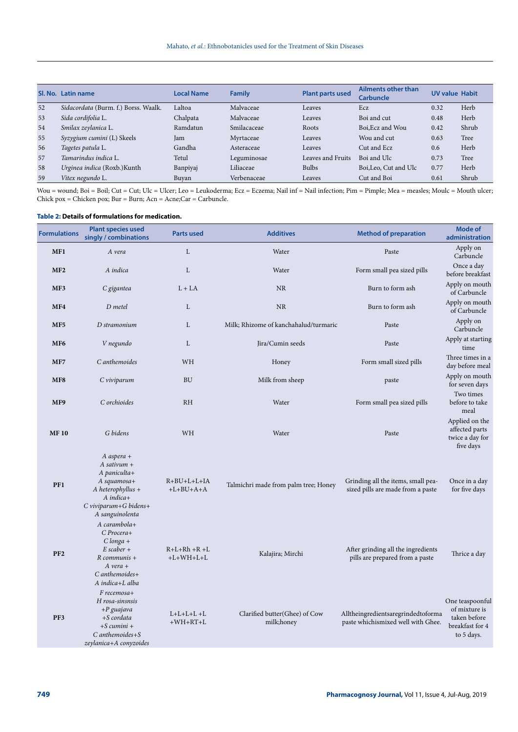|    | Sl. No. Latin name                   | <b>Local Name</b> | <b>Family</b> | <b>Plant parts used</b> | <b>Ailments other than</b><br><b>Carbuncle</b> | <b>UV value Habit</b> |       |
|----|--------------------------------------|-------------------|---------------|-------------------------|------------------------------------------------|-----------------------|-------|
| 52 | Sidacordata (Burm. f.) Borss. Waalk. | Laltoa            | Malvaceae     | Leaves                  | Ecz                                            | 0.32                  | Herb  |
| 53 | Sida cordifolia L.                   | Chalpata          | Malvaceae     | Leaves                  | Boi and cut                                    | 0.48                  | Herb  |
| 54 | Smilax zeylanica L.                  | Ramdatun          | Smilacaceae   | Roots                   | Boi.Ecz and Wou                                | 0.42                  | Shrub |
| 55 | Syzygium cumini (L) Skeels           | Jam               | Myrtaceae     | Leaves                  | Wou and cut                                    | 0.63                  | Tree  |
| 56 | Tagetes patula L.                    | Gandha            | Asteraceae    | Leaves                  | Cut and Ecz                                    | 0.6                   | Herb  |
| 57 | Tamarindus indica L.                 | Tetul             | Leguminosae   | Leaves and Fruits       | Boi and Ulc                                    | 0.73                  | Tree  |
| 58 | Urginea indica (Roxb.) Kunth         | Banpiyaj          | Liliaceae     | <b>Bulbs</b>            | Boi, Leo, Cut and Ulc                          | 0.77                  | Herb  |
| 59 | Vitex negundo L.                     | Buvan             | Verbenaceae   | Leaves                  | Cut and Boi                                    | 0.61                  | Shrub |

Wou = wound; Boi = Boil; Cut = Cut; Ulc = Ulcer; Leo = Leukoderma; Ecz = Eczema; Nail inf = Nail infection; Pim = Pimple; Mea = measles; Moulc = Mouth ulcer; Chick pox = Chicken pox; Bur = Burn; Acn = Acne;Car = Carbuncle.

# **Table 2: Details of formulations for medication.**

| <b>Formulations</b> | <b>Plant species used</b><br>singly / combinations                                                                                             | <b>Parts used</b>                    | <b>Additives</b>                            | <b>Method of preparation</b>                                             | <b>Mode of</b><br>administration                                                  |
|---------------------|------------------------------------------------------------------------------------------------------------------------------------------------|--------------------------------------|---------------------------------------------|--------------------------------------------------------------------------|-----------------------------------------------------------------------------------|
| MF1                 | A vera                                                                                                                                         | L                                    | Water                                       | Paste                                                                    | Apply on<br>Carbuncle                                                             |
| MF <sub>2</sub>     | A indica                                                                                                                                       | L                                    | Water                                       | Form small pea sized pills                                               | Once a day<br>before breakfast                                                    |
| MF3                 | C gigantea                                                                                                                                     | $L + LA$                             | <b>NR</b>                                   | Burn to form ash                                                         | Apply on mouth<br>of Carbuncle                                                    |
| MF4                 | D metel                                                                                                                                        | L                                    | <b>NR</b>                                   | Burn to form ash                                                         | Apply on mouth<br>of Carbuncle                                                    |
| MF <sub>5</sub>     | D stramonium                                                                                                                                   | L                                    | Milk; Rhizome of kanchahalud/turmaric       | Paste                                                                    | Apply on<br>Carbuncle                                                             |
| MF <sub>6</sub>     | V negundo                                                                                                                                      | L                                    | Jira/Cumin seeds                            | Paste                                                                    | Apply at starting<br>time                                                         |
| MF7                 | C anthemoides                                                                                                                                  | WH                                   | Honey                                       | Form small sized pills                                                   | Three times in a<br>day before meal                                               |
| MF8                 | C viviparum                                                                                                                                    | <b>BU</b>                            | Milk from sheep                             | paste                                                                    | Apply on mouth<br>for seven days                                                  |
| MF9                 | C orchioides                                                                                                                                   | <b>RH</b>                            | Water                                       | Form small pea sized pills                                               | Two times<br>before to take<br>meal                                               |
| <b>MF10</b>         | G bidens                                                                                                                                       | WH                                   | Water                                       | Paste                                                                    | Applied on the<br>affected parts<br>twice a day for<br>five days                  |
| PF1                 | $A$ aspera +<br>$A$ sativum +<br>$A$ paniculta+<br>A squamosa+<br>$A$ heterophyllus +<br>A indica+<br>C viviparum+G bidens+<br>A sanguinolenta | $R + BU + L + L + IA$<br>$+L+BU+A+A$ | Talmichri made from palm tree; Honey        | Grinding all the items, small pea-<br>sized pills are made from a paste  | Once in a day<br>for five days                                                    |
| PF <sub>2</sub>     | $A$ carambola+<br>C Procera+<br>$C \; longa +$<br>$E$ scaber +<br>$R$ communis +<br>$A$ vera $+$<br>$C$ anthemoides+<br>A indica+L alba        | $R+L+Rh+R+L$<br>$+L+WH+L+L$          | Kalajira; Mirchi                            | After grinding all the ingredients<br>pills are prepared from a paste    | Thrice a day                                                                      |
| PF3                 | $F$ recemosa+<br>H rosa-sinsnsis<br>$+P$ guajava<br>$+S$ cordata<br>$+S$ cumini $+$<br>C anthemoides+S<br>zeylanica+A conyzoides               | $L+L+L+L+L$<br>$+WH+RT+L$            | Clarified butter(Ghee) of Cow<br>milk;honey | Alltheingredientsaregrindedtoforma<br>paste whichismixed well with Ghee. | One teaspoonful<br>of mixture is<br>taken before<br>breakfast for 4<br>to 5 days. |
|                     |                                                                                                                                                |                                      |                                             |                                                                          |                                                                                   |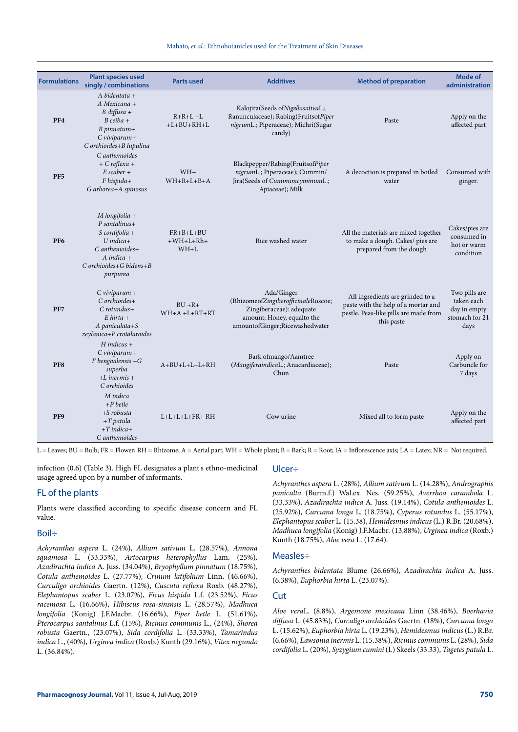| <b>Formulations</b> | <b>Plant species used</b><br>singly / combinations                                                                                                          | <b>Parts used</b>                          | <b>Additives</b>                                                                                                                              | <b>Method of preparation</b>                                                                                                   | Mode of<br>administration                                             |
|---------------------|-------------------------------------------------------------------------------------------------------------------------------------------------------------|--------------------------------------------|-----------------------------------------------------------------------------------------------------------------------------------------------|--------------------------------------------------------------------------------------------------------------------------------|-----------------------------------------------------------------------|
| PF4                 | $A$ bidentata +<br>A Mexicana +<br>B diffusa +<br>$B$ ceiba +<br>$B$ pinnatum+<br>$C$ viviparum+<br>C orchioides+B lupulina                                 | $R+R+L+L$<br>$+L+BU+RH+L$                  | Kalojira(Seeds ofNigellasativaL.;<br>Ranunculaceae); Rabing(FruitsofPiper<br>nigrumL.; Piperaceae); Michri(Sugar<br>candy)                    | Paste                                                                                                                          | Apply on the<br>affected part                                         |
| PF <sub>5</sub>     | C anthemoides<br>$+ C$ reflexa +<br>$E$ scaber +<br>$F$ hispida+<br>G arborea+A spinosus                                                                    | $WH+$<br>$WH + R + L + B + A$              | Blackpepper/Rabing(FruitsofPiper<br>nigrumL.; Piperaceae); Cummin/<br>Jira(Seeds of CuminumcyminumL.;<br>Apiaceae); Milk                      | A decoction is prepared in boiled<br>water                                                                                     | Consumed with<br>ginger.                                              |
| PF <sub>6</sub>     | $M$ longifolia +<br>$P$ santalinus+<br>$S$ cordifolia +<br>$U$ indica+<br>$C$ anthemoides+<br>$A$ indica $+$<br>$C$ orchioides+ $G$ bidens+ $B$<br>purpurea | $FR + B + L + BU$<br>$+WH+L+Rh+$<br>$WH+L$ | Rice washed water                                                                                                                             | All the materials are mixed together<br>to make a dough. Cakes/ pies are<br>prepared from the dough                            | Cakes/pies are<br>consumed in<br>hot or warm<br>condition             |
| PF7                 | $C$ viviparum +<br>C orchioides+<br>$C$ rotundus+<br>$E$ hirta +<br>A paniculata+S<br>zeylanica+P crotalaroides                                             | $BUI + R +$<br>$WH + A + L + RT + RT$      | Ada/Ginger<br>(RhizomeofZingiberofficinaleRoscoe;<br>Zingiberaceae): adequate<br>amount; Honey, equalto the<br>amountofGinger;Ricewashedwater | All ingredients are grinded to a<br>paste with the help of a mortar and<br>pestle. Peas-like pills are made from<br>this paste | Two pills are<br>taken each<br>day in empty<br>stomach for 21<br>days |
| PF <sub>8</sub>     | $H$ indicus +<br>$C$ viviparum+<br>$F$ bengaalensis + $G$<br>superba<br>$+L$ inermis $+$<br>C orchioides                                                    | $A+BU+L+L+L+RH$                            | Bark ofmango/Aamtree<br>(MangiferaindicaL.; Anacardiaceae);<br>Chun                                                                           | Paste                                                                                                                          | Apply on<br>Carbuncle for<br>7 days                                   |
| PF9                 | M indica<br>$+P$ betle<br>$+$ S robusta<br>$+T$ patula<br>$+T$ indica+<br>C anthemoides                                                                     | $L+L+L+L+FR+RH$                            | Cow urine                                                                                                                                     | Mixed all to form paste                                                                                                        | Apply on the<br>affected part                                         |

L = Leaves; BU = Bulb; FR = Flower; RH = Rhizome; A = Aerial part; WH = Whole plant; B = Bark; R = Root; IA = Inflorescence axis; LA = Latex; NR = Not required.

infection (0.6) (Table 3). High FL designates a plant's ethno-medicinal usage agreed upon by a number of informants.

# FL of the plants

Plants were classified according to specific disease concern and FL value.

# Boil÷

*Achyranthes aspera* L. (24%), *Allium sativum* L. (28.57%)*, Annona squamosa* L. (33.33%), *Artocarpus heterophyllus* Lam. (25%)*, Azadirachta indica* A. Juss. (34.04%), *Bryophyllum pinnatum* (18.75%), *Cotula anthemoides* L. (27.77%)*, Crinum latifolium* Linn. (46.66%)*, Curculigo orchioides* Gaertn. (12%), *Cuscuta reflexa* Roxb. (48.27%), *Elephantopus scaber* L. (23.07%), *Ficus hispida* L.f. (23.52%), *Ficus racemosa* L. (16.66%), *Hibiscus rosa-sinsnsis* L. (28.57%), *Madhuca longifolia* (Konig) J.F.Macbr. (16.66%), *Piper betle* L. (51.61%), *Pterocarpus santalinus* L.f. (15%), *Ricinus communis* L., (24%), *Shorea robusta* Gaertn., (23.07%), *Sida cordifolia* L. (33.33%), *Tamarindus indica* L., (40%), *Urginea indica* (Roxb.) Kunth (29.16%), *Vitex negundo*  L. (36.84%).

#### Ulcer÷

*Achyranthes aspera* L. (28%), *Allium sativum* L. (14.28%), *Andrographis paniculta* (Burm.f.) Wal.ex. Nes. (59.25%), *Averrhoa carambola* L. (33.33%), *Azadirachta indica* A. Juss. (19.14%), *Cotula anthemoides* L. (25.92%), *Curcuma longa* L. (18.75%), *Cyperus rotundus* L. (55.17%), *Elephantopus scaber* L. (15.38), *Hemidesmus indicus* (L.) R.Br. (20.68%), *Madhuca longifolia* (Konig) J.F.Macbr*.* (13.88%), *Urginea indica* (Roxb.) Kunth (18.75%), *Aloe vera* L. (17.64).

#### Measles÷

*Achyranthes bidentata* Blume (26.66%), *Azadirachta indica* A. Juss. (6.38%), *Euphorbia hirta* L. (23.07%).

# Cut

*Aloe vera*L. (8.8%), *Argemone mexicana* Linn (38.46%), *Boerhavia diffusa* L. (45.83%)*, Curculigo orchioides* Gaertn. (18%), *Curcuma longa*  L. (15.62%), *Euphorbia hirta* L. (19.23%), *Hemidesmus indicus* (L.) R.Br. (6.66%), *Lawsonia inermis* L. (15.38%), *Ricinus communis* L. (28%), *Sida cordifolia* L. (20%), *Syzygium cumini* (L) Skeels (33.33), *Tagetes patula* L.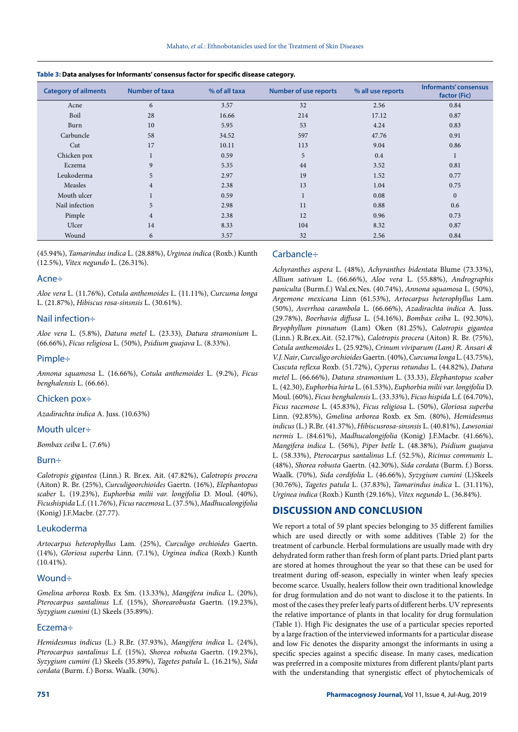| <b>Category of ailments</b> | Number of taxa | % of all taxa | <b>Number of use reports</b> | % all use reports | Informants' consensus<br>factor (Fic) |
|-----------------------------|----------------|---------------|------------------------------|-------------------|---------------------------------------|
| Acne                        | 6              | 3.57          | 32                           | 2.56              | 0.84                                  |
| Boil                        | 28             | 16.66         | 214                          | 17.12             | 0.87                                  |
| Burn                        | 10             | 5.95          | 53                           | 4.24              | 0.83                                  |
| Carbuncle                   | 58             | 34.52         | 597                          | 47.76             | 0.91                                  |
| Cut                         | 17             | 10.11         | 113                          | 9.04              | 0.86                                  |
| Chicken pox                 |                | 0.59          | 5                            | 0.4               | $\mathbf{r}$                          |
| Eczema                      | 9              | 5.35          | 44                           | 3.52              | 0.81                                  |
| Leukoderma                  | 5              | 2.97          | 19                           | 1.52              | 0.77                                  |
| Measles                     | $\overline{4}$ | 2.38          | 13                           | 1.04              | 0.75                                  |
| Mouth ulcer                 | $\pm$          | 0.59          |                              | 0.08              | $\mathbf{0}$                          |
| Nail infection              | 5              | 2.98          | 11                           | 0.88              | 0.6                                   |
| Pimple                      | $\overline{4}$ | 2.38          | 12                           | 0.96              | 0.73                                  |
| Ulcer                       | 14             | 8.33          | 104                          | 8.32              | 0.87                                  |
| Wound                       | 6              | 3.57          | 32                           | 2.56              | 0.84                                  |

**Table 3: Data analyses for Informants' consensus factor for specific disease category.**

(45.94%), *Tamarindus indica* L. (28.88%), *Urginea indica* (Roxb.) Kunth (12.5%), *Vitex negundo* L. (26.31%).

#### Acne÷

*Aloe vera* L. (11.76%), *Cotula anthemoides* L. (11.11%), *Curcuma longa*  L. (21.87%), *Hibiscus rosa-sinsnsis* L. (30.61%).

## Nail infection÷

*Aloe vera* L. (5.8%), *Datura metel* L. (23.33)*, Datura stramonium* L. (66.66%), *Ficus religiosa* L. (50%), *Psidium guajava* L. (8.33%).

# Pimple÷

*Annona squamosa* L. (16.66%), *Cotula anthemoides* L. (9.2%), *Ficus benghalensis* L. (66.66).

#### Chicken pox÷

*Azadirachta indica* A. Juss. (10.63%)

#### Mouth ulcer÷

*Bombax ceiba* L. (7.6%)

#### Burn÷

*Calotropis gigantea* (Linn.) R. Br.ex. Ait. (47.82%), *Calotropis procera*  (Aiton) R. Br. (25%), *Curculigoorchioides* Gaertn. (16%), *Elephantopus scaber* L. (19.23%), *Euphorbia milii var. longifolia* D. Moul. (40%), *Ficushispida* L.f. (11.76%), *Ficus racemosa* L. (37.5%), *Madhucalongifolia*  (Konig) J.F.Macbr. (27.77).

#### Leukoderma

*Artocarpus heterophyllus* Lam. (25%), *Curculigo orchioides* Gaertn. (14%), *Gloriosa superba* Linn. (7.1%), *Urginea indica* (Roxb.) Kunth  $(10.41\%).$ 

#### Wound÷

*Gmelina arborea* Roxb. Ex Sm. (13.33%), *Mangifera indica* L. (20%), *Pterocarpus santalinus* L.f. (15%), *Shorearobusta* Gaertn. (19.23%), *Syzygium cumini* (L) Skeels (35.89%).

# Eczema÷

*Hemidesmus indicus* (L.) R.Br. (37.93%), *Mangifera indica* L. (24%), *Pterocarpus santalinus* L.f. (15%), *Shorea robusta* Gaertn. (19.23%), *Syzygium cumini (*L) Skeels (35.89%), *Tagetes patula* L. (16.21%), *Sida cordata* (Burm. f.) Borss. Waalk. (30%).

# Carbancle÷

*Achyranthes aspera* L. (48%), *Achyranthes bidentata* Blume (73.33%), *Allium sativum* L. (66.66%), *Aloe vera* L. (55.88%), *Andrographis paniculta* (Burm.f.) Wal.ex.Nes. (40.74%), *Annona squamosa* L. (50%), *Argemone mexicana* Linn (61.53%), *Artocarpus heterophyllus* Lam. (50%), *Averrhoa carambola* L. (66.66%), *Azadirachta indica* A. Juss. (29.78%), *Boerhavia diffusa* L. (54.16%), *Bombax ceiba* L. (92.30%), *Bryophyllum pinnatum* (Lam) Oken (81.25%), *Calotropis gigantea*  (Linn.) R.Br.ex.Ait. (52.17%), *Calotropis procera* (Aiton) R. Br. (75%), *Cotula anthemoides* L. (25.92%), *Crinum viviparum (Lam) R. Ansari & V.J. Nair*, *Curculigo orchioides* Gaertn. (40%), *Curcuma longa* L. (43.75%), *Cuscuta reflexa* Roxb. (51.72%), *Cyperus rotundus* L. (44.82%), *Datura metel* L. (66.66%), *Datura stramonium* L. (33.33), *Elephantopus scaber*  L. (42.30), *Euphorbia hirta* L. (61.53%), *Euphorbia milii var. longifolia* D. Moul. (60%), *Ficus benghalensis* L. (33.33%), *Ficus hispida* L.f. (64.70%), *Ficus racemose* L. (45.83%), *Ficus religiosa* L. (50%), *Gloriosa superba*  Linn. (92.85%), *Gmelina arborea* Roxb. ex Sm. (80%), *Hemidesmus indicus* (L.) R.Br. (41.37%), *Hibiscusrosa-sinsnsis* L. (40.81%), *Lawsoniai nermis* L. (84.61%), *Madhucalongifolia* (Konig) J.F.Macbr. (41.66%), *Mangifera indica* L. (56%), *Piper betle* L. (48.38%), *Psidium guajava*  L. (58.33%), *Pterocarpus santalinus* L.f. (52.5%), *Ricinus communis* L. (48%), *Shorea robusta* Gaertn. (42.30%), *Sida cordata* (Burm. f.) Borss. Waalk. (70%)*, Sida cordifolia* L. (46.66%), *Syzygium cumini* (L)Skeels (30.76%), *Tagetes patula* L. (37.83%), *Tamarindus indica* L. (31.11%), *Urginea indica* (Roxb.) Kunth (29.16%), *Vitex negundo* L. (36.84%).

# **DISCUSSION AND CONCLUSION**

We report a total of 59 plant species belonging to 35 different families which are used directly or with some additives (Table 2) for the treatment of carbuncle. Herbal formulations are usually made with dry dehydrated form rather than fresh form of plant parts. Dried plant parts are stored at homes throughout the year so that these can be used for treatment during off-season, especially in winter when leafy species become scarce. Usually, healers follow their own traditional knowledge for drug formulation and do not want to disclose it to the patients. In most of the cases they prefer leafy parts of different herbs. UV represents the relative importance of plants in that locality for drug formulation (Table 1). High Fic designates the use of a particular species reported by a large fraction of the interviewed informants for a particular disease and low Fic denotes the disparity amongst the informants in using a specific species against a specific disease. In many cases, medication was preferred in a composite mixtures from different plants/plant parts with the understanding that synergistic effect of phytochemicals of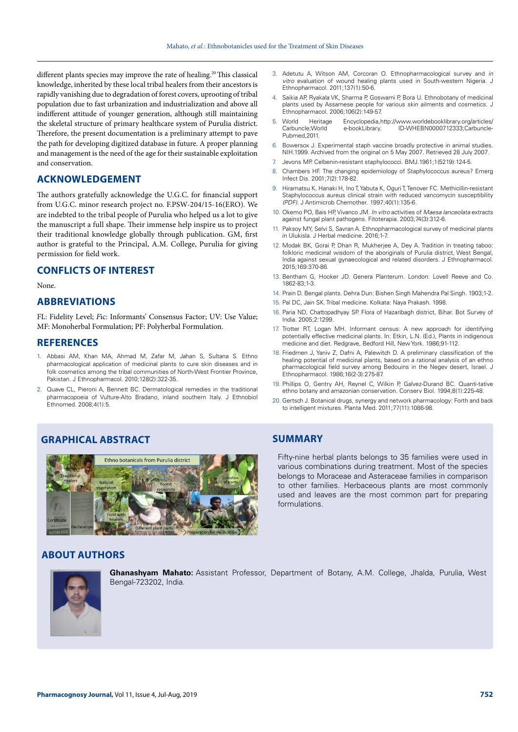different plants species may improve the rate of healing.<sup>20</sup> This classical knowledge, inherited by these local tribal healers from their ancestors is rapidly vanishing due to degradation of forest covers, uprooting of tribal population due to fast urbanization and industrialization and above all indifferent attitude of younger generation, although still maintaining the skeletal structure of primary healthcare system of Purulia district. Therefore, the present documentation is a preliminary attempt to pave the path for developing digitized database in future. A proper planning and management is the need of the age for their sustainable exploitation and conservation.

# **ACKNOWLEDGEMENT**

The authors gratefully acknowledge the U.G.C. for financial support from U.G.C. minor research project no. F.PSW-204/15-16(ERO). We are indebted to the tribal people of Purulia who helped us a lot to give the manuscript a full shape. Their immense help inspire us to project their traditional knowledge globally through publication. GM, first author is grateful to the Principal, A.M. College, Purulia for giving permission for field work.

# **CONFLICTS OF INTEREST**

None.

# **ABBREVIATIONS**

FL: Fidelity Level; *F*ic: Informants' Consensus Factor; UV: Use Value; MF: Monoherbal Formulation; PF: Polyherbal Formulation.

# **REFERENCES**

- 1. Abbasi AM, Khan MA, Ahmad M, Zafar M, Jahan S, Sultana S. Ethno pharmacological application of medicinal plants to cure skin diseases and in folk cosmetics among the tribal communities of North-West Frontier Province, Pakistan. J Ethnopharmacol. 2010;128(2):322-35.
- 2. Quave CL, Pieroni A, Bennett BC. Dermatological remedies in the traditional pharmacopoeia of Vulture-Alto Bradano, inland southern Italy. J Ethnobiol Ethnomed. 2008;4(1):5.

# **GRAPHICAL ABSTRACT SUMMARY**



# **ABOUT AUTHORS**



**Ghanashyam Mahato:** Assistant Professor, Department of Botany, A.M. College, Jhalda, Purulia, West Bengal-723202, India.

- 3. Adetutu A, Witson AM, Corcoran O. Ethnopharmacological survey and *in vitro* evaluation of wound healing plants used in South-western Nigeria. J Ethnopharmacol. 2011;137(1):50-6.
- 4. Saikia AP, Ryakala VK, Sharma P, Goswami P, Bora U. Ethnobotany of medicinal plants used by Assamese people for various skin ailments and cosmetics. J Ethnopharmacol. 2006;106(2):149-57.
- 5. World Heritage Encyclopedia,http://www.worldebooklibrary.org/articles/ Carbuncle;World e-bookLibrary. ID-WHEBN0000712333;Carbuncle-Pubmed, 2011.
- 6. Bowersox J. Experimental staph vaccine broadly protective in animal studies*.* NIH.1999. Archived from the original on 5 May 2007*.* Retrieved 28 July 2007*.*
- 7. Jevons MP. Celbenin-resistant staphylococci. BMJ.1961;1(5219):124-5*.*
- 8. Chambers HF. The changing epidemiology of Staphylococcus aureus? Emerg Infect Dis*.* 2001;7(2):178-82.
- 9. Hiramatsu K, Hanaki H, Ino T, Yabuta K, Oguri T, Tenover FC. Methicillin-resistant Staphylococcus aureus clinical strain with reduced vancomycin susceptibility *(PDF).* J Antimicrob Chemother*.* 1997;40(1):135-6*.*
- 10. Okemo PO, Bais HP, Vivanco JM. *In vitro* activities of *Maesa lanceolata* extracts against fungal plant pathogens. Fitoterapia. 2003;74(3):312-6.
- 11. Paksoy MY, Selvi S, Savran A. Ethnopharmacological survey of medicinal plants in Ulukisla. J Herbal medicine. 2016;1-7.
- 12. Modak BK, Gorai P, Dhan R, Mukherjee A, Dey A. Tradition in treating taboo: folkloric medicinal wisdom of the aboriginals of Purulia district, West Bengal, India against sexual gynaecological and related disorders. J Ethnopharmacol. 2015;169:370-86.
- 13. Bentham G, Hooker JD. Genera Planterum. London: Lovell Reeve and Co. 1862-83;1-3.
- 14. Prain D. Bengal plants. Dehra Dun: Bishen Singh Mahendra Pal Singh. 1903;1-2.
- 15. Pal DC, Jain SK. Tribal medicine. Kolkata: Naya Prakash. 1998.
- 16. Paria ND, Chattopadhyay SP. Flora of Hazaribagh district, Bihar. Bot Survey of India. 2005;2:1299.
- 17. Trotter RT, Logan MH. Informant census: A new approach for identifying potentially effective medicinal plants. In: Etkin, L.N. (Ed.), Plants in indigenous medicine and diet. Redgrave, Bedford Hill, New York. 1986;91-112.
- 18. Friedmen J, Yaniv Z, Dafni A, Palewitch D. A preliminary classification of the healing potential of medicinal plants, based on a rational analysis of an ethno pharmacological field survey among Bedouins in the Negev desert, Israel. J Ethnopharmacol. 1986;16(2-3):275-87.
- 19. Phillips O, Gentry AH, Reynel C, Wilkin P, Galvez-Durand BC. Quanti-tative ethno botany and amazonian conservation. Conserv Biol. 1994;8(1):225-48.
- 20. Gertsch J. Botanical drugs, synergy and network pharmacology: Forth and back to intelligent mixtures. Planta Med. 2011;77(11):1086-98.

Fifty-nine herbal plants belongs to 35 families were used in various combinations during treatment. Most of the species belongs to Moraceae and Asteraceae families in comparison to other families. Herbaceous plants are most commonly used and leaves are the most common part for preparing formulations.